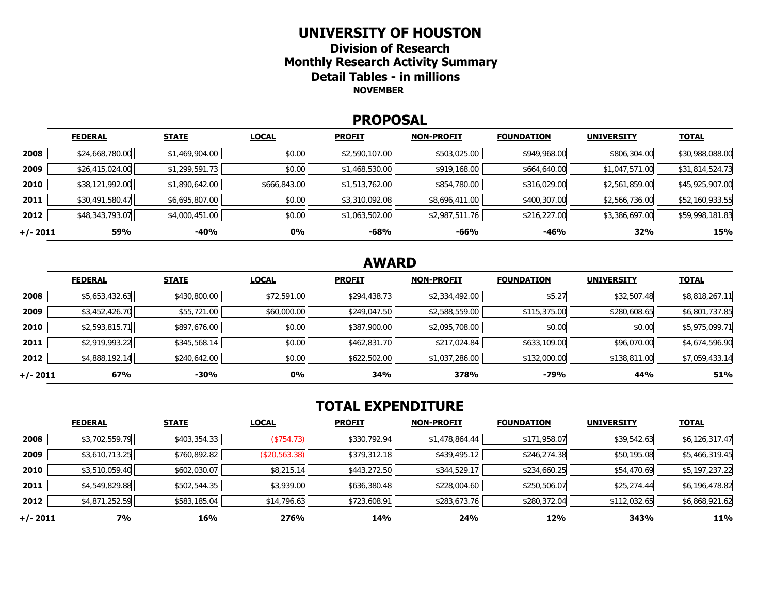#### **UNIVERSITY OF HOUSTON**

**Division of Research Monthly Research Activity Summary Detail Tables - in millions NOVEMBER** 

#### **PROPOSAL**

|            | <b>FEDERAL</b>  | <b>STATE</b>   | <b>LOCAL</b> | <b>PROFIT</b>  | <b>NON-PROFIT</b> | <b>FOUNDATION</b> | <b>UNIVERSITY</b> | <b>TOTAL</b>    |
|------------|-----------------|----------------|--------------|----------------|-------------------|-------------------|-------------------|-----------------|
| 2008       | \$24,668,780.00 | \$1,469,904.00 | \$0.00       | \$2,590,107.00 | \$503,025.00      | \$949,968.00      | \$806,304.00      | \$30,988,088.00 |
| 2009       | \$26,415,024.00 | \$1,299,591.73 | \$0.00       | \$1,468,530.00 | \$919,168.00      | \$664,640.00      | \$1,047,571.00    | \$31,814,524.73 |
| 2010       | \$38,121,992.00 | \$1,890,642.00 | \$666,843.00 | \$1,513,762.00 | \$854,780.00      | \$316,029.00      | \$2,561,859.00    | \$45,925,907.00 |
| 2011       | \$30,491,580.47 | \$6,695,807.00 | \$0.00       | \$3,310,092.08 | \$8,696,411.00    | \$400,307.00      | \$2,566,736.00    | \$52,160,933.55 |
| 2012       | \$48,343,793.07 | \$4,000,451.00 | \$0.00       | \$1,063,502.00 | \$2,987,511.76    | \$216,227.00      | \$3,386,697.00    | \$59,998,181.83 |
| $+/- 2011$ | 59%             | -40%           | 0%           | $-68%$         | -66%              | -46%              | 32%               | 15%             |

# **AWARD**

|          | <b>FEDERAL</b> | <b>STATE</b> | <b>LOCAL</b> | <b>PROFIT</b> | <b>NON-PROFIT</b> | <b>FOUNDATION</b> | <b>UNIVERSITY</b> | <b>TOTAL</b>   |
|----------|----------------|--------------|--------------|---------------|-------------------|-------------------|-------------------|----------------|
| 2008     | \$5,653,432.63 | \$430,800.00 | \$72,591.00  | \$294,438.73  | \$2,334,492.00    | \$5.27            | \$32,507.48       | \$8,818,267.11 |
| 2009     | \$3,452,426.70 | \$55,721.00  | \$60,000.00  | \$249,047.50  | \$2,588,559.00    | \$115,375.00      | \$280,608.65      | \$6,801,737.85 |
| 2010     | \$2,593,815.71 | \$897,676.00 | \$0.00       | \$387,900.00  | \$2,095,708.00    | \$0.00            | \$0.00            | \$5,975,099.71 |
| 2011     | \$2,919,993.22 | \$345,568.14 | \$0.00       | \$462,831.70  | \$217,024.84      | \$633,109.00      | \$96,070.00       | \$4,674,596.90 |
| 2012     | \$4,888,192.14 | \$240,642.00 | \$0.00       | \$622,502.00  | \$1,037,286.00    | \$132,000.00      | \$138,811.00      | \$7,059,433.14 |
| +/- 2011 | 67%            | $-30%$       | 0%           | 34%           | 378%              | $-79%$            | 44%               | 51%            |

# **TOTAL EXPENDITURE**

|          | <b>FEDERAL</b> | <b>STATE</b> | <b>LOCAL</b>  | <b>PROFIT</b> | <b>NON-PROFIT</b> | <b>FOUNDATION</b> | <b>UNIVERSITY</b> | <b>TOTAL</b>   |
|----------|----------------|--------------|---------------|---------------|-------------------|-------------------|-------------------|----------------|
| 2008     | \$3,702,559.79 | \$403,354.33 | ( \$754.73]   | \$330,792.94  | \$1,478,864.44    | \$171,958.07      | \$39,542.63       | \$6,126,317.47 |
| 2009     | \$3,610,713.25 | \$760,892.82 | (\$20,563.38) | \$379,312.18  | \$439,495.12      | \$246,274.38      | \$50,195.08       | \$5,466,319.45 |
| 2010     | \$3,510,059.40 | \$602,030.07 | \$8,215.14    | \$443,272.50  | \$344,529.17      | \$234,660.25      | \$54,470.69       | \$5,197,237.22 |
| 2011     | \$4,549,829.88 | \$502,544.35 | \$3,939.00    | \$636,380.48  | \$228,004.60      | \$250,506.07      | \$25,274.44       | \$6,196,478.82 |
| 2012     | \$4,871,252.59 | \$583,185.04 | \$14,796.63   | \$723,608.91  | \$283,673.76      | \$280,372.04      | \$112,032.65      | \$6,868,921.62 |
| +/- 2011 | <b>7%</b>      | 16%          | 276%          | 14%           | 24%               | 12%               | 343%              | <b>11%</b>     |